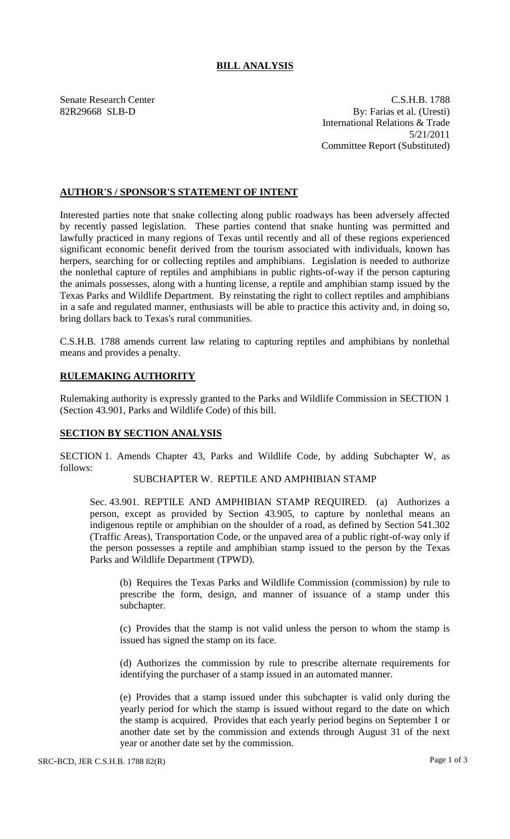## **BILL ANALYSIS**

Senate Research Center C.S.H.B. 1788 82R29668 SLB-D By: Farias et al. (Uresti) International Relations & Trade 5/21/2011 Committee Report (Substituted)

### **AUTHOR'S / SPONSOR'S STATEMENT OF INTENT**

Interested parties note that snake collecting along public roadways has been adversely affected by recently passed legislation. These parties contend that snake hunting was permitted and lawfully practiced in many regions of Texas until recently and all of these regions experienced significant economic benefit derived from the tourism associated with individuals, known has herpers, searching for or collecting reptiles and amphibians. Legislation is needed to authorize the nonlethal capture of reptiles and amphibians in public rights-of-way if the person capturing the animals possesses, along with a hunting license, a reptile and amphibian stamp issued by the Texas Parks and Wildlife Department. By reinstating the right to collect reptiles and amphibians in a safe and regulated manner, enthusiasts will be able to practice this activity and, in doing so, bring dollars back to Texas's rural communities.

C.S.H.B. 1788 amends current law relating to capturing reptiles and amphibians by nonlethal means and provides a penalty.

## **RULEMAKING AUTHORITY**

Rulemaking authority is expressly granted to the Parks and Wildlife Commission in SECTION 1 (Section 43.901, Parks and Wildlife Code) of this bill.

#### **SECTION BY SECTION ANALYSIS**

SECTION 1. Amends Chapter 43, Parks and Wildlife Code, by adding Subchapter W, as follows:

# SUBCHAPTER W. REPTILE AND AMPHIBIAN STAMP

Sec. 43.901. REPTILE AND AMPHIBIAN STAMP REQUIRED. (a) Authorizes a person, except as provided by Section 43.905, to capture by nonlethal means an indigenous reptile or amphibian on the shoulder of a road, as defined by Section 541.302 (Traffic Areas), Transportation Code, or the unpaved area of a public right-of-way only if the person possesses a reptile and amphibian stamp issued to the person by the Texas Parks and Wildlife Department (TPWD).

(b) Requires the Texas Parks and Wildlife Commission (commission) by rule to prescribe the form, design, and manner of issuance of a stamp under this subchapter.

(c) Provides that the stamp is not valid unless the person to whom the stamp is issued has signed the stamp on its face.

(d) Authorizes the commission by rule to prescribe alternate requirements for identifying the purchaser of a stamp issued in an automated manner.

(e) Provides that a stamp issued under this subchapter is valid only during the yearly period for which the stamp is issued without regard to the date on which the stamp is acquired. Provides that each yearly period begins on September 1 or another date set by the commission and extends through August 31 of the next year or another date set by the commission.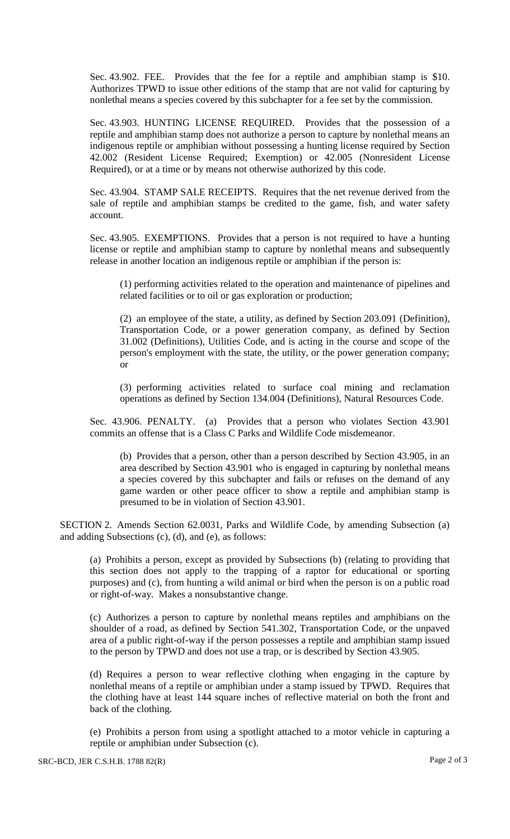Sec. 43.902. FEE. Provides that the fee for a reptile and amphibian stamp is \$10. Authorizes TPWD to issue other editions of the stamp that are not valid for capturing by nonlethal means a species covered by this subchapter for a fee set by the commission.

Sec. 43.903. HUNTING LICENSE REQUIRED. Provides that the possession of a reptile and amphibian stamp does not authorize a person to capture by nonlethal means an indigenous reptile or amphibian without possessing a hunting license required by Section 42.002 (Resident License Required; Exemption) or 42.005 (Nonresident License Required), or at a time or by means not otherwise authorized by this code.

Sec. 43.904. STAMP SALE RECEIPTS. Requires that the net revenue derived from the sale of reptile and amphibian stamps be credited to the game, fish, and water safety account.

Sec. 43.905. EXEMPTIONS. Provides that a person is not required to have a hunting license or reptile and amphibian stamp to capture by nonlethal means and subsequently release in another location an indigenous reptile or amphibian if the person is:

(1) performing activities related to the operation and maintenance of pipelines and related facilities or to oil or gas exploration or production;

(2) an employee of the state, a utility, as defined by Section 203.091 (Definition), Transportation Code, or a power generation company, as defined by Section 31.002 (Definitions), Utilities Code, and is acting in the course and scope of the person's employment with the state, the utility, or the power generation company; or

(3) performing activities related to surface coal mining and reclamation operations as defined by Section 134.004 (Definitions), Natural Resources Code.

Sec. 43.906. PENALTY. (a) Provides that a person who violates Section 43.901 commits an offense that is a Class C Parks and Wildlife Code misdemeanor.

(b) Provides that a person, other than a person described by Section 43.905, in an area described by Section 43.901 who is engaged in capturing by nonlethal means a species covered by this subchapter and fails or refuses on the demand of any game warden or other peace officer to show a reptile and amphibian stamp is presumed to be in violation of Section 43.901.

SECTION 2. Amends Section 62.0031, Parks and Wildlife Code, by amending Subsection (a) and adding Subsections (c), (d), and (e), as follows:

(a) Prohibits a person, except as provided by Subsections (b) (relating to providing that this section does not apply to the trapping of a raptor for educational or sporting purposes) and (c), from hunting a wild animal or bird when the person is on a public road or right-of-way. Makes a nonsubstantive change.

(c) Authorizes a person to capture by nonlethal means reptiles and amphibians on the shoulder of a road, as defined by Section 541.302, Transportation Code, or the unpaved area of a public right-of-way if the person possesses a reptile and amphibian stamp issued to the person by TPWD and does not use a trap, or is described by Section 43.905.

(d) Requires a person to wear reflective clothing when engaging in the capture by nonlethal means of a reptile or amphibian under a stamp issued by TPWD. Requires that the clothing have at least 144 square inches of reflective material on both the front and back of the clothing.

(e) Prohibits a person from using a spotlight attached to a motor vehicle in capturing a reptile or amphibian under Subsection (c).